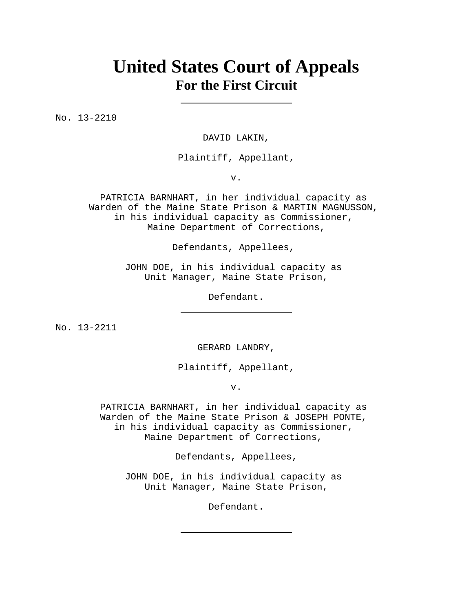# **United States Court of Appeals For the First Circuit**

No. 13-2210

DAVID LAKIN,

Plaintiff, Appellant,

v.

PATRICIA BARNHART, in her individual capacity as Warden of the Maine State Prison & MARTIN MAGNUSSON, in his individual capacity as Commissioner, Maine Department of Corrections,

Defendants, Appellees,

JOHN DOE, in his individual capacity as Unit Manager, Maine State Prison,

Defendant.

No. 13-2211

GERARD LANDRY,

Plaintiff, Appellant,

v.

PATRICIA BARNHART, in her individual capacity as Warden of the Maine State Prison & JOSEPH PONTE, in his individual capacity as Commissioner, Maine Department of Corrections,

Defendants, Appellees,

JOHN DOE, in his individual capacity as Unit Manager, Maine State Prison,

Defendant.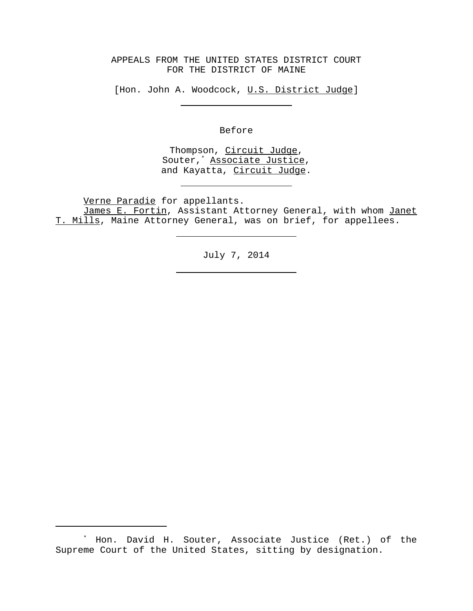## APPEALS FROM THE UNITED STATES DISTRICT COURT FOR THE DISTRICT OF MAINE

[Hon. John A. Woodcock, U.S. District Judge]

Before

Thompson, Circuit Judge, Souter,<sup>\*</sup> Associate Justice, and Kayatta, Circuit Judge.

Verne Paradie for appellants.

James E. Fortin, Assistant Attorney General, with whom Janet T. Mills, Maine Attorney General, was on brief, for appellees.

July 7, 2014

<sup>\*</sup> Hon. David H. Souter, Associate Justice (Ret.) of the Supreme Court of the United States, sitting by designation.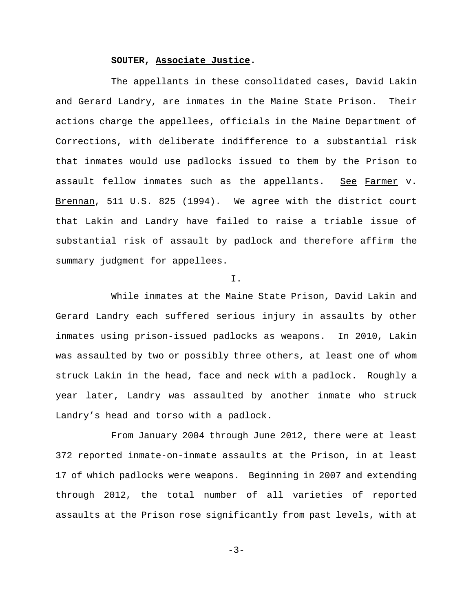#### **SOUTER, Associate Justice.**

The appellants in these consolidated cases, David Lakin and Gerard Landry, are inmates in the Maine State Prison. Their actions charge the appellees, officials in the Maine Department of Corrections, with deliberate indifference to a substantial risk that inmates would use padlocks issued to them by the Prison to assault fellow inmates such as the appellants. See Farmer v. Brennan, 511 U.S. 825 (1994). We agree with the district court that Lakin and Landry have failed to raise a triable issue of substantial risk of assault by padlock and therefore affirm the summary judgment for appellees.

I.

While inmates at the Maine State Prison, David Lakin and Gerard Landry each suffered serious injury in assaults by other inmates using prison-issued padlocks as weapons. In 2010, Lakin was assaulted by two or possibly three others, at least one of whom struck Lakin in the head, face and neck with a padlock. Roughly a year later, Landry was assaulted by another inmate who struck Landry's head and torso with a padlock.

From January 2004 through June 2012, there were at least 372 reported inmate-on-inmate assaults at the Prison, in at least 17 of which padlocks were weapons. Beginning in 2007 and extending through 2012, the total number of all varieties of reported assaults at the Prison rose significantly from past levels, with at

-3-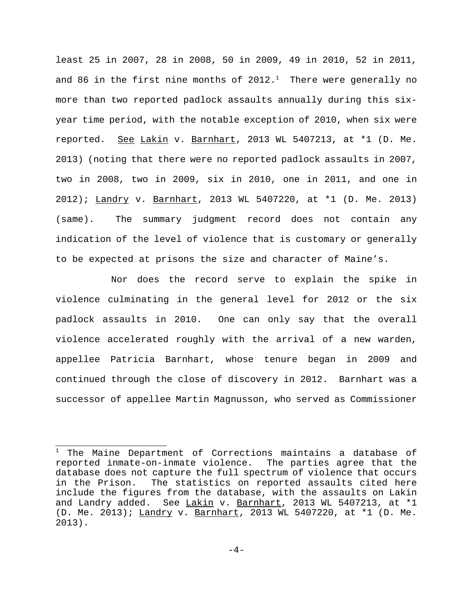least 25 in 2007, 28 in 2008, 50 in 2009, 49 in 2010, 52 in 2011, and 86 in the first nine months of 2012. $^1$  There were generally no more than two reported padlock assaults annually during this sixyear time period, with the notable exception of 2010, when six were reported. See Lakin v. Barnhart, 2013 WL 5407213, at \*1 (D. Me. 2013) (noting that there were no reported padlock assaults in 2007, two in 2008, two in 2009, six in 2010, one in 2011, and one in 2012); Landry v. Barnhart, 2013 WL 5407220, at \*1 (D. Me. 2013) (same). The summary judgment record does not contain any indication of the level of violence that is customary or generally to be expected at prisons the size and character of Maine's.

Nor does the record serve to explain the spike in violence culminating in the general level for 2012 or the six padlock assaults in 2010. One can only say that the overall violence accelerated roughly with the arrival of a new warden, appellee Patricia Barnhart, whose tenure began in 2009 and continued through the close of discovery in 2012. Barnhart was a successor of appellee Martin Magnusson, who served as Commissioner

 $1$  The Maine Department of Corrections maintains a database of reported inmate-on-inmate violence. The parties agree that the database does not capture the full spectrum of violence that occurs in the Prison. The statistics on reported assaults cited here include the figures from the database, with the assaults on Lakin and Landry added. See Lakin v. Barnhart, 2013 WL 5407213, at \*1 (D. Me. 2013); Landry v. Barnhart, 2013 WL 5407220, at \*1 (D. Me. 2013).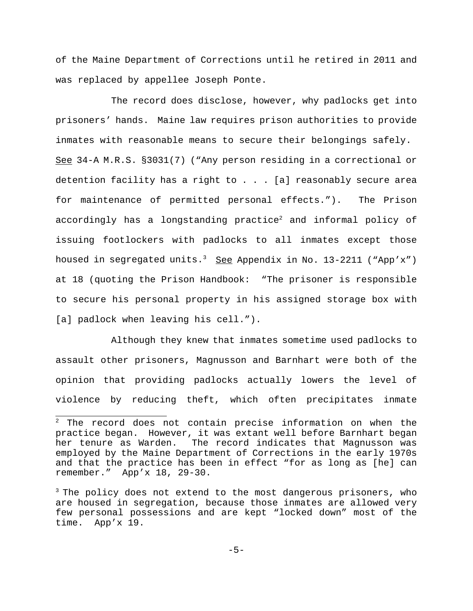of the Maine Department of Corrections until he retired in 2011 and was replaced by appellee Joseph Ponte.

The record does disclose, however, why padlocks get into prisoners' hands. Maine law requires prison authorities to provide inmates with reasonable means to secure their belongings safely. See 34-A M.R.S. §3031(7) ("Any person residing in a correctional or detention facility has a right to  $. . . [a]$  reasonably secure area for maintenance of permitted personal effects."). The Prison accordingly has a longstanding practice<sup>2</sup> and informal policy of issuing footlockers with padlocks to all inmates except those housed in segregated units.<sup>3</sup> See Appendix in No. 13-2211 ("App'x") at 18 (quoting the Prison Handbook: "The prisoner is responsible to secure his personal property in his assigned storage box with [a] padlock when leaving his cell.").

Although they knew that inmates sometime used padlocks to assault other prisoners, Magnusson and Barnhart were both of the opinion that providing padlocks actually lowers the level of violence by reducing theft, which often precipitates inmate

 $2$  The record does not contain precise information on when the practice began. However, it was extant well before Barnhart began her tenure as Warden. The record indicates that Magnusson was employed by the Maine Department of Corrections in the early 1970s and that the practice has been in effect "for as long as [he] can remember." App'x 18, 29-30.

<sup>&</sup>lt;sup>3</sup> The policy does not extend to the most dangerous prisoners, who are housed in segregation, because those inmates are allowed very few personal possessions and are kept "locked down" most of the time. App'x 19.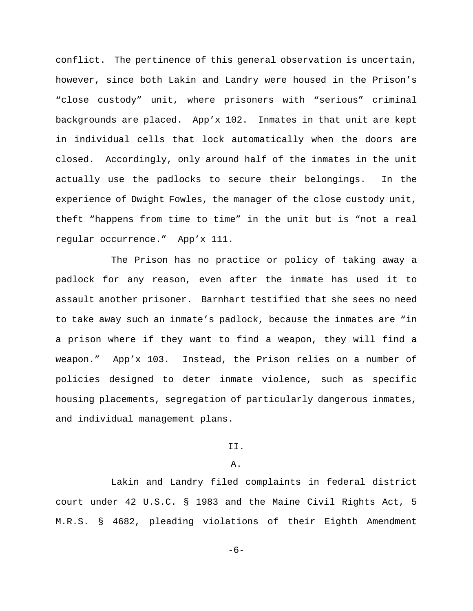conflict. The pertinence of this general observation is uncertain, however, since both Lakin and Landry were housed in the Prison's "close custody" unit, where prisoners with "serious" criminal backgrounds are placed. App'x 102. Inmates in that unit are kept in individual cells that lock automatically when the doors are closed. Accordingly, only around half of the inmates in the unit actually use the padlocks to secure their belongings. In the experience of Dwight Fowles, the manager of the close custody unit, theft "happens from time to time" in the unit but is "not a real regular occurrence." App'x 111.

The Prison has no practice or policy of taking away a padlock for any reason, even after the inmate has used it to assault another prisoner. Barnhart testified that she sees no need to take away such an inmate's padlock, because the inmates are "in a prison where if they want to find a weapon, they will find a weapon." App'x 103. Instead, the Prison relies on a number of policies designed to deter inmate violence, such as specific housing placements, segregation of particularly dangerous inmates, and individual management plans.

## II.

#### A.

Lakin and Landry filed complaints in federal district court under 42 U.S.C. § 1983 and the Maine Civil Rights Act, 5 M.R.S. § 4682, pleading violations of their Eighth Amendment

-6-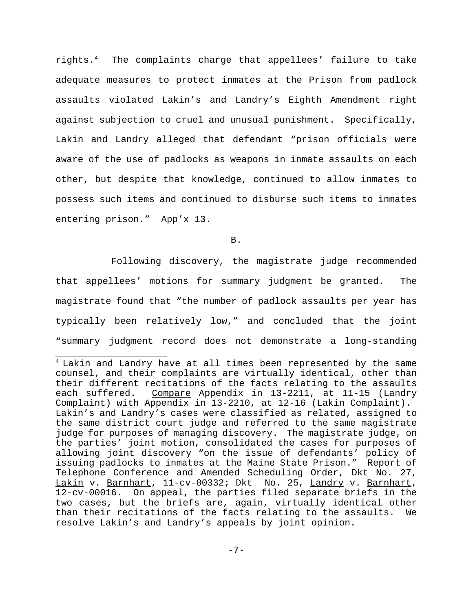rights.4 The complaints charge that appellees' failure to take adequate measures to protect inmates at the Prison from padlock assaults violated Lakin's and Landry's Eighth Amendment right against subjection to cruel and unusual punishment. Specifically, Lakin and Landry alleged that defendant "prison officials were aware of the use of padlocks as weapons in inmate assaults on each other, but despite that knowledge, continued to allow inmates to possess such items and continued to disburse such items to inmates entering prison." App'x 13.

B.

Following discovery, the magistrate judge recommended that appellees' motions for summary judgment be granted. The magistrate found that "the number of padlock assaults per year has typically been relatively low," and concluded that the joint "summary judgment record does not demonstrate a long-standing

<sup>&</sup>lt;sup>4</sup> Lakin and Landry have at all times been represented by the same counsel, and their complaints are virtually identical, other than their different recitations of the facts relating to the assaults each suffered. Compare Appendix in 13-2211, at 11-15 (Landry Complaint) with Appendix in 13-2210, at 12-16 (Lakin Complaint). Lakin's and Landry's cases were classified as related, assigned to the same district court judge and referred to the same magistrate judge for purposes of managing discovery. The magistrate judge, on the parties' joint motion, consolidated the cases for purposes of allowing joint discovery "on the issue of defendants' policy of issuing padlocks to inmates at the Maine State Prison." Report of Telephone Conference and Amended Scheduling Order, Dkt No. 27, Lakin v. Barnhart, 11-cv-00332; Dkt No. 25, Landry v. Barnhart, 12-cv-00016. On appeal, the parties filed separate briefs in the two cases, but the briefs are, again, virtually identical other than their recitations of the facts relating to the assaults. We resolve Lakin's and Landry's appeals by joint opinion.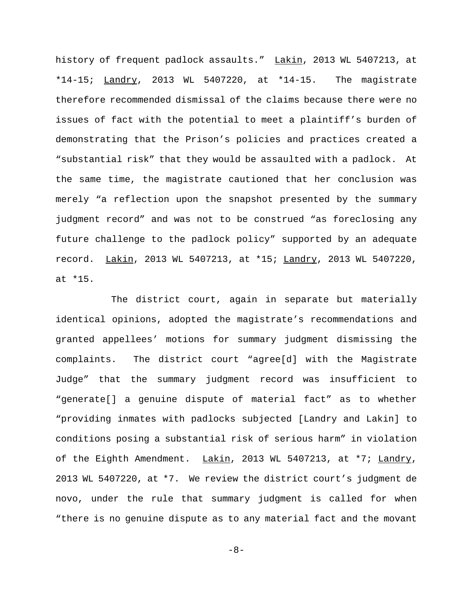history of frequent padlock assaults." Lakin, 2013 WL 5407213, at \*14-15; Landry, 2013 WL 5407220, at \*14-15. The magistrate therefore recommended dismissal of the claims because there were no issues of fact with the potential to meet a plaintiff's burden of demonstrating that the Prison's policies and practices created a "substantial risk" that they would be assaulted with a padlock. At the same time, the magistrate cautioned that her conclusion was merely "a reflection upon the snapshot presented by the summary judgment record" and was not to be construed "as foreclosing any future challenge to the padlock policy" supported by an adequate record. Lakin, 2013 WL 5407213, at \*15; Landry, 2013 WL 5407220, at \*15.

The district court, again in separate but materially identical opinions, adopted the magistrate's recommendations and granted appellees' motions for summary judgment dismissing the complaints. The district court "agree[d] with the Magistrate Judge" that the summary judgment record was insufficient to "generate[] a genuine dispute of material fact" as to whether "providing inmates with padlocks subjected [Landry and Lakin] to conditions posing a substantial risk of serious harm" in violation of the Eighth Amendment. Lakin, 2013 WL 5407213, at \*7; Landry, 2013 WL 5407220, at \*7. We review the district court's judgment de novo, under the rule that summary judgment is called for when "there is no genuine dispute as to any material fact and the movant

-8-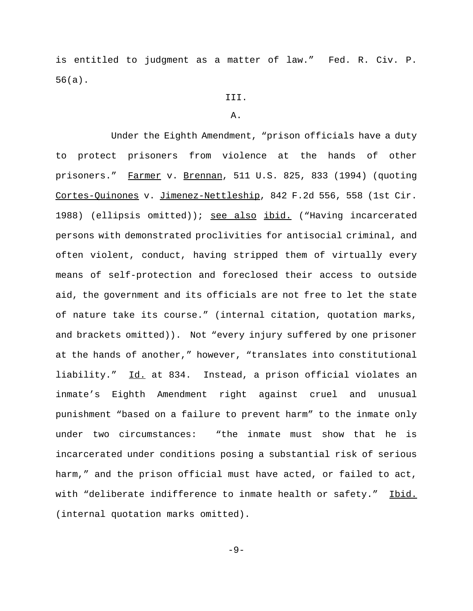is entitled to judgment as a matter of law." Fed. R. Civ. P. 56(a).

- III.
- A.

Under the Eighth Amendment, "prison officials have a duty to protect prisoners from violence at the hands of other prisoners." Farmer v. Brennan, 511 U.S. 825, 833 (1994) (quoting Cortes-Quinones v. Jimenez-Nettleship, 842 F.2d 556, 558 (1st Cir. 1988) (ellipsis omitted)); see also ibid. ("Having incarcerated persons with demonstrated proclivities for antisocial criminal, and often violent, conduct, having stripped them of virtually every means of self-protection and foreclosed their access to outside aid, the government and its officials are not free to let the state of nature take its course." (internal citation, quotation marks, and brackets omitted)). Not "every injury suffered by one prisoner at the hands of another," however, "translates into constitutional liability." Id. at 834. Instead, a prison official violates an inmate's Eighth Amendment right against cruel and unusual punishment "based on a failure to prevent harm" to the inmate only under two circumstances: "the inmate must show that he is incarcerated under conditions posing a substantial risk of serious harm," and the prison official must have acted, or failed to act, with "deliberate indifference to inmate health or safety." Ibid. (internal quotation marks omitted).

-9-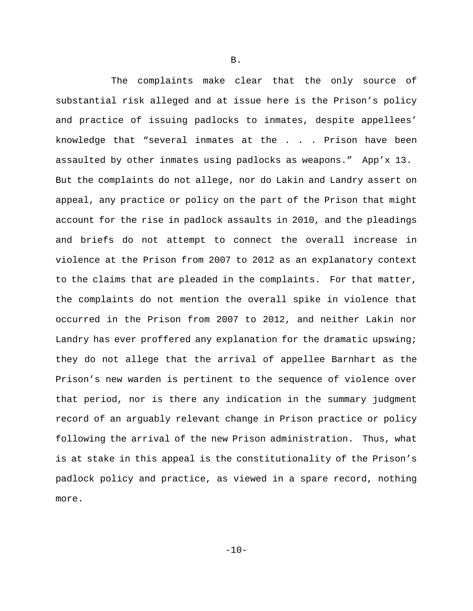The complaints make clear that the only source of substantial risk alleged and at issue here is the Prison's policy and practice of issuing padlocks to inmates, despite appellees' knowledge that "several inmates at the . . . Prison have been assaulted by other inmates using padlocks as weapons." App'x 13. But the complaints do not allege, nor do Lakin and Landry assert on appeal, any practice or policy on the part of the Prison that might account for the rise in padlock assaults in 2010, and the pleadings and briefs do not attempt to connect the overall increase in violence at the Prison from 2007 to 2012 as an explanatory context to the claims that are pleaded in the complaints. For that matter, the complaints do not mention the overall spike in violence that occurred in the Prison from 2007 to 2012, and neither Lakin nor Landry has ever proffered any explanation for the dramatic upswing; they do not allege that the arrival of appellee Barnhart as the Prison's new warden is pertinent to the sequence of violence over that period, nor is there any indication in the summary judgment record of an arguably relevant change in Prison practice or policy following the arrival of the new Prison administration. Thus, what is at stake in this appeal is the constitutionality of the Prison's padlock policy and practice, as viewed in a spare record, nothing more.

B.

 $-10-$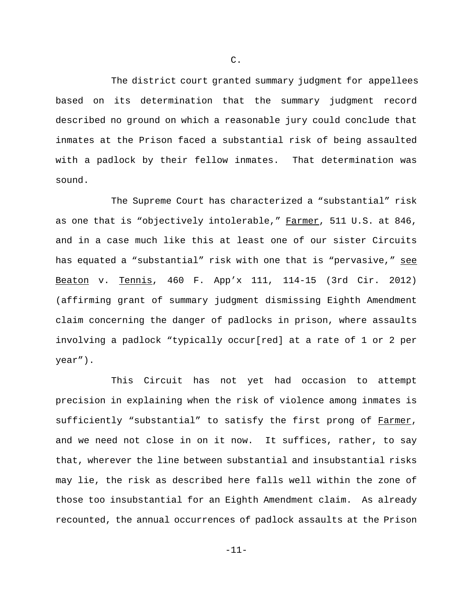The district court granted summary judgment for appellees based on its determination that the summary judgment record described no ground on which a reasonable jury could conclude that inmates at the Prison faced a substantial risk of being assaulted with a padlock by their fellow inmates. That determination was sound.

The Supreme Court has characterized a "substantial" risk as one that is "objectively intolerable," Farmer, 511 U.S. at 846, and in a case much like this at least one of our sister Circuits has equated a "substantial" risk with one that is "pervasive," see Beaton v. Tennis, 460 F. App'x 111, 114-15 (3rd Cir. 2012) (affirming grant of summary judgment dismissing Eighth Amendment claim concerning the danger of padlocks in prison, where assaults involving a padlock "typically occur[red] at a rate of 1 or 2 per year").

This Circuit has not yet had occasion to attempt precision in explaining when the risk of violence among inmates is sufficiently "substantial" to satisfy the first prong of Farmer, and we need not close in on it now. It suffices, rather, to say that, wherever the line between substantial and insubstantial risks may lie, the risk as described here falls well within the zone of those too insubstantial for an Eighth Amendment claim. As already recounted, the annual occurrences of padlock assaults at the Prison

C.

-11-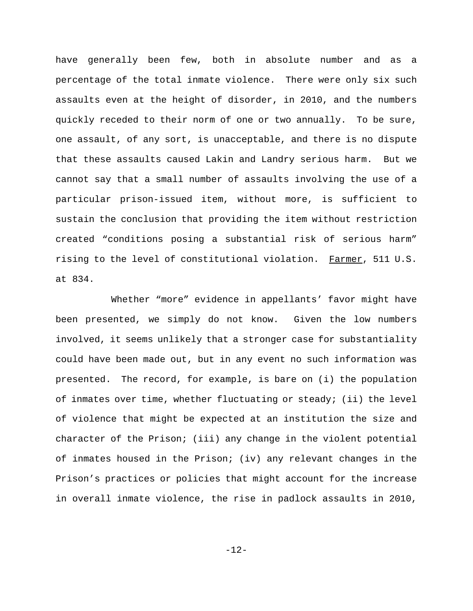have generally been few, both in absolute number and as a percentage of the total inmate violence. There were only six such assaults even at the height of disorder, in 2010, and the numbers quickly receded to their norm of one or two annually. To be sure, one assault, of any sort, is unacceptable, and there is no dispute that these assaults caused Lakin and Landry serious harm. But we cannot say that a small number of assaults involving the use of a particular prison-issued item, without more, is sufficient to sustain the conclusion that providing the item without restriction created "conditions posing a substantial risk of serious harm" rising to the level of constitutional violation. Farmer, 511 U.S. at 834.

Whether "more" evidence in appellants' favor might have been presented, we simply do not know. Given the low numbers involved, it seems unlikely that a stronger case for substantiality could have been made out, but in any event no such information was presented. The record, for example, is bare on (i) the population of inmates over time, whether fluctuating or steady; (ii) the level of violence that might be expected at an institution the size and character of the Prison; (iii) any change in the violent potential of inmates housed in the Prison; (iv) any relevant changes in the Prison's practices or policies that might account for the increase in overall inmate violence, the rise in padlock assaults in 2010,

-12-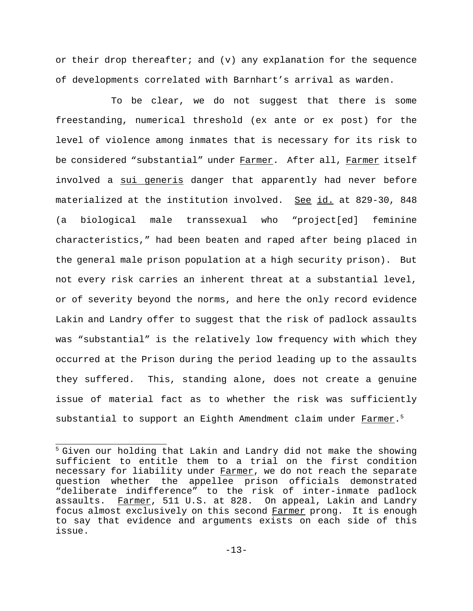or their drop thereafter; and  $(v)$  any explanation for the sequence of developments correlated with Barnhart's arrival as warden.

To be clear, we do not suggest that there is some freestanding, numerical threshold (ex ante or ex post) for the level of violence among inmates that is necessary for its risk to be considered "substantial" under Farmer. After all, Farmer itself involved a sui generis danger that apparently had never before materialized at the institution involved. See id. at 829-30, 848 (a biological male transsexual who "project[ed] feminine characteristics," had been beaten and raped after being placed in the general male prison population at a high security prison). But not every risk carries an inherent threat at a substantial level, or of severity beyond the norms, and here the only record evidence Lakin and Landry offer to suggest that the risk of padlock assaults was "substantial" is the relatively low frequency with which they occurred at the Prison during the period leading up to the assaults they suffered. This, standing alone, does not create a genuine issue of material fact as to whether the risk was sufficiently substantial to support an Eighth Amendment claim under Farmer.<sup>5</sup>

<sup>&</sup>lt;sup>5</sup> Given our holding that Lakin and Landry did not make the showing sufficient to entitle them to a trial on the first condition necessary for liability under Farmer, we do not reach the separate question whether the appellee prison officials demonstrated "deliberate indifference" to the risk of inter-inmate padlock assaults. Farmer, 511 U.S. at 828. On appeal, Lakin and Landry focus almost exclusively on this second Farmer prong. It is enough to say that evidence and arguments exists on each side of this issue.